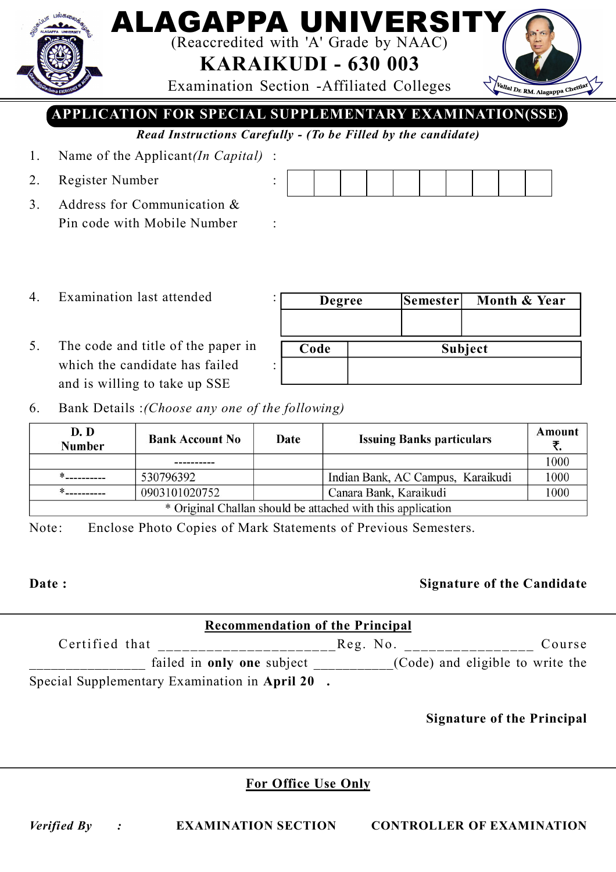## (Reaccredited with 'A' Grade by NAAC)

LAGAPPA UNIVEI

**KARAIKUDI - 630 003**

Examination Section -Affiliated Colleges

**APPLICATION FOR SPECIAL SUPPLEMENTARY EXAMINATION(SSE)**

*Read Instructions Carefully - (To be Filled by the candidate)*

- 1. Name of the Applicant*(In Capital)* :
- 2. Register Number :
- 3. Address for Communication & Pin code with Mobile Number :

- 4. Examination last attended :
- 5. The code and title of the paper in which the candidate has failed and is willing to take up SSE
- **Degree Semester Month & Year Code Subject**
- 6. Bank Details :*(Choose any one of the following)*

| D. D<br><b>Bank Account No</b><br><b>Number</b>             |               | Date | <b>Issuing Banks particulars</b>  | Amount |
|-------------------------------------------------------------|---------------|------|-----------------------------------|--------|
|                                                             |               |      |                                   | 1000   |
|                                                             | 530796392     |      | Indian Bank, AC Campus, Karaikudi | 1000   |
|                                                             | 0903101020752 |      | Canara Bank, Karaikudi            | 1000   |
| * Original Challan should be attached with this application |               |      |                                   |        |

Note: Enclose Photo Copies of Mark Statements of Previous Semesters.

### **Date : Signature of the Candidate**

Vallal Dr. RM. Alagappa Chettian

| <b>Recommendation of the Principal</b>         |          |                                  |  |  |  |
|------------------------------------------------|----------|----------------------------------|--|--|--|
| Certified that                                 | Reg. No. | Course                           |  |  |  |
| failed in only one subject                     |          | (Code) and eligible to write the |  |  |  |
| Special Supplementary Examination in April 20. |          |                                  |  |  |  |

**Signature of the Principal**

### **For Office Use Only**

*Verified By :* **EXAMINATION SECTION CONTROLLER OF EXAMINATION**